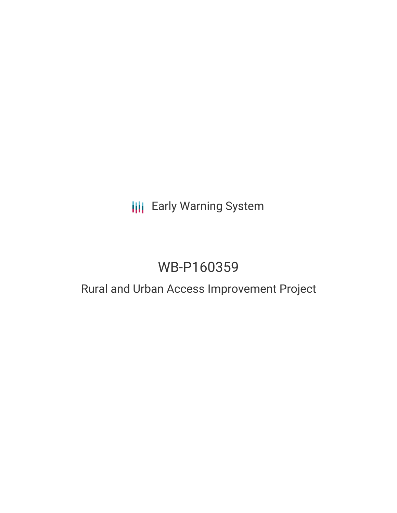# **III** Early Warning System

# WB-P160359

### Rural and Urban Access Improvement Project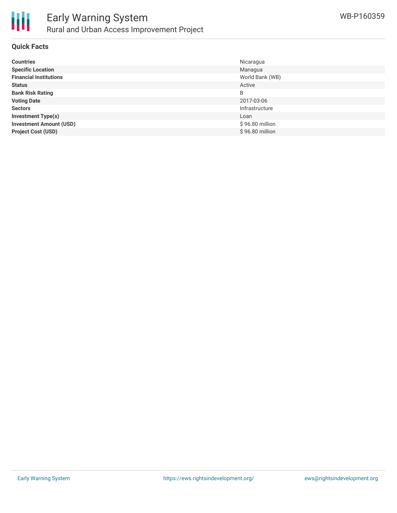

#### **Quick Facts**

| <b>Countries</b>               | Nicaragua       |
|--------------------------------|-----------------|
| <b>Specific Location</b>       | Managua         |
| <b>Financial Institutions</b>  | World Bank (WB) |
| <b>Status</b>                  | Active          |
| <b>Bank Risk Rating</b>        | B               |
| <b>Voting Date</b>             | 2017-03-06      |
| <b>Sectors</b>                 | Infrastructure  |
| <b>Investment Type(s)</b>      | Loan            |
| <b>Investment Amount (USD)</b> | \$96.80 million |
| <b>Project Cost (USD)</b>      | \$96.80 million |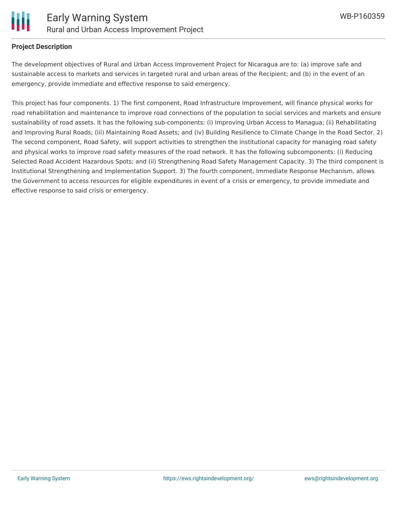

#### **Project Description**

The development objectives of Rural and Urban Access Improvement Project for Nicaragua are to: (a) improve safe and sustainable access to markets and services in targeted rural and urban areas of the Recipient; and (b) in the event of an emergency, provide immediate and effective response to said emergency.

This project has four components. 1) The first component, Road Infrastructure Improvement, will finance physical works for road rehabilitation and maintenance to improve road connections of the population to social services and markets and ensure sustainability of road assets. It has the following sub-components: (i) Improving Urban Access to Managua; (ii) Rehabilitating and Improving Rural Roads; (iii) Maintaining Road Assets; and (iv) Building Resilience to Climate Change in the Road Sector. 2) The second component, Road Safety, will support activities to strengthen the institutional capacity for managing road safety and physical works to improve road safety measures of the road network. It has the following subcomponents: (i) Reducing Selected Road Accident Hazardous Spots; and (ii) Strengthening Road Safety Management Capacity. 3) The third component is Institutional Strengthening and Implementation Support. 3) The fourth component, Immediate Response Mechanism, allows the Government to access resources for eligible expenditures in event of a crisis or emergency, to provide immediate and effective response to said crisis or emergency.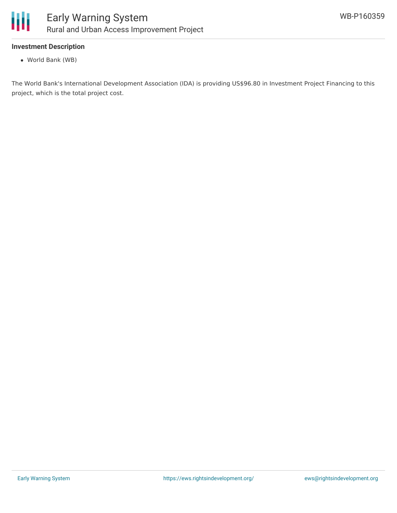

#### **Investment Description**

World Bank (WB)

The World Bank's International Development Association (IDA) is providing US\$96.80 in Investment Project Financing to this project, which is the total project cost.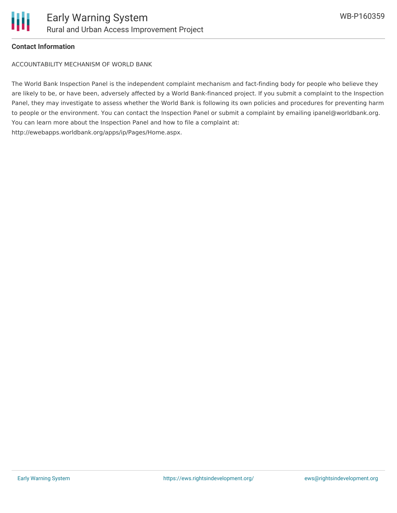

#### **Contact Information**

ACCOUNTABILITY MECHANISM OF WORLD BANK

The World Bank Inspection Panel is the independent complaint mechanism and fact-finding body for people who believe they are likely to be, or have been, adversely affected by a World Bank-financed project. If you submit a complaint to the Inspection Panel, they may investigate to assess whether the World Bank is following its own policies and procedures for preventing harm to people or the environment. You can contact the Inspection Panel or submit a complaint by emailing ipanel@worldbank.org. You can learn more about the Inspection Panel and how to file a complaint at: http://ewebapps.worldbank.org/apps/ip/Pages/Home.aspx.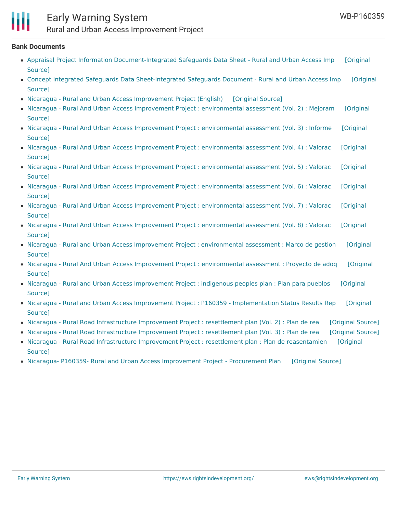

### Early Warning System Rural and Urban Access Improvement Project

#### **Bank Documents**

- Appraisal Project Information [Document-Integrated](https://ewsdata.rightsindevelopment.org/files/documents/59/WB-P160359_JXm2zWh.pdf) Safeguards Data Sheet Rural and Urban Access Imp [Original Source]
- Concept Integrated Safeguards Data [Sheet-Integrated](https://ewsdata.rightsindevelopment.org/files/documents/59/WB-P160359_92hIN6Q.pdf) Safeguards Document Rural and Urban Access Imp [Original Source]
- Nicaragua Rural and Urban Access [Improvement](https://ewsdata.rightsindevelopment.org/files/documents/59/WB-P160359_ZB83ifc.pdf) Project (English) [\[Original](http://documents.worldbank.org/curated/en/556961489074487201/pdf/Project-Appraisal-Document-PAD-P160359-2017-02-13-10-54-002-02142017.pdf) Source]
- Nicaragua Rural And Urban Access Improvement Project : [environmental](http://documents.worldbank.org/curated/en/339781483069602588/pdf/SFG2810-V2-EA-SPANISH-P160359-Box396343B-PUBLIC-Disclosed-12-28-2016.pdf) assessment (Vol. 2) : Mejoram [Original Source]
- Nicaragua Rural And Urban Access Improvement Project : [environmental](http://documents.worldbank.org/curated/en/597961483070545316/pdf/SFG2810-V3-EA-SPANISH-P160359-Box396343B-PUBLIC-Disclosed-12-28-2016.pdf) assessment (Vol. 3) : Informe [Original Source]
- Nicaragua Rural And Urban Access Improvement Project : [environmental](http://documents.worldbank.org/curated/en/346501483071014348/pdf/SFG2810-V4-REVISED-EA-SPANISH-P160359-PUBLIC-Disclosed-1-23-2017.pdf) assessment (Vol. 4) : Valorac [Original Source]
- Nicaragua Rural And Urban Access Improvement Project : [environmental](http://documents.worldbank.org/curated/en/231341483077789810/pdf/SFG2810-V5-EA-SPANISH-P160359-Box396343B-PUBLIC-Disclosed-12-28-2016.pdf) assessment (Vol. 5) : Valorac [Original Source]
- Nicaragua Rural And Urban Access Improvement Project : [environmental](http://documents.worldbank.org/curated/en/522221483078387144/pdf/SFG2810-V6-EA-SPANISH-P160359-Box396343B-PUBLIC-Disclosed-12-28-2016.pdf) assessment (Vol. 6) : Valorac [Original Source]
- Nicaragua Rural And Urban Access Improvement Project : [environmental](http://documents.worldbank.org/curated/en/652231483079395788/pdf/SFG2810-V7-EA-SPANISH-P160359-Box396343B-PUBLIC-Disclosed-12-28-2016.pdf) assessment (Vol. 7) : Valorac [Original Source]
- Nicaragua Rural And Urban Access Improvement Project : [environmental](http://documents.worldbank.org/curated/en/273231483079933673/pdf/SFG2810-V8-EA-SPANISH-P160359-Box396343B-PUBLIC-Disclosed-12-29-2016.pdf) assessment (Vol. 8) : Valorac [Original Source]
- Nicaragua Rural and Urban Access Improvement Project : [environmental](http://documents.worldbank.org/curated/en/586441483092830660/pdf/SFG2814-EA-SPANISH-P160359-Box396343B-PUBLIC-Disclosed-12-29-2016.pdf) assessment : Marco de gestion [Original Source]
- Nicaragua Rural And Urban Access Improvement Project : [environmental](http://documents.worldbank.org/curated/en/628441483069273208/pdf/SFG2810-V1-EA-SPANISH-P160359-Box396343B-PUBLIC-Disclosed-12-28-2016.pdf) assessment : Proyecto de adoq [Original Source]
- Nicaragua Rural and Urban Access [Improvement](http://documents.worldbank.org/curated/en/702221483079971435/pdf/SFG2803-IPP-SPANISH-P160359-Box396343B-PUBLIC-Disclosed-12-28-2016.pdf) Project : indigenous peoples plan : Plan para pueblos [Original Source]
- Nicaragua Rural and Urban Access Improvement Project : P160359 [Implementation](http://documents.worldbank.org/curated/en/594171496859571807/pdf/ISR-Disclosable-P160359-06-07-2017-1496859559793.pdf) Status Results Rep [Original Source]
- Nicaragua Rural Road [Infrastructure](https://ewsdata.rightsindevelopment.org/files/documents/59/WB-P160359_TcJo3IJ.pdf) Improvement Project : resettlement plan (Vol. 2) : Plan de rea [\[Original](http://documents.worldbank.org/curated/en/441901483091314599/pdf/SFG2813-V2-RP-SPANISH-P160359-Box396343B-PUBLIC-Disclosed-12-28-2016.pdf) Source]
- Nicaragua Rural Road [Infrastructure](https://ewsdata.rightsindevelopment.org/files/documents/59/WB-P160359_Wg7h5PJ.pdf) Improvement Project : resettlement plan (Vol. 3) : Plan de rea [\[Original](http://documents.worldbank.org/curated/en/321861483091990606/pdf/SFG2813-V3-RP-SPANISH-P160359-Box396343B-PUBLIC-Disclosed-12-28-2016.pdf) Source]
- Nicaragua Rural Road Infrastructure Improvement Project : resettlement plan : Plan de [reasentamien](http://documents.worldbank.org/curated/en/677171483088683864/pdf/SFG2813-V1-RP-SPANISH-P160359-Box396343B-PUBLIC-Disclosed-12-28-2016.pdf) [Original Source]
- Nicaragua- P160359- Rural and Urban Access [Improvement](https://ewsdata.rightsindevelopment.org/files/documents/59/WB-P160359_uswaA0T.pdf) Project Procurement Plan [\[Original](http://documents.worldbank.org/curated/en/791421496961491365/pdf/Plan-Archive-1.pdf) Source]